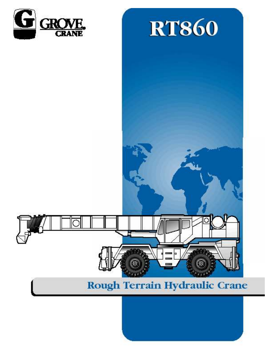



# Rough Terrain Hydraulic Crane

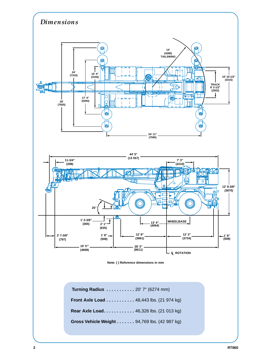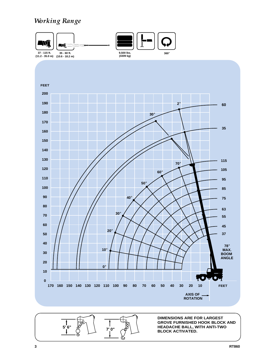# *Working Range*



Ø

**BLOCK ACTIVATED.**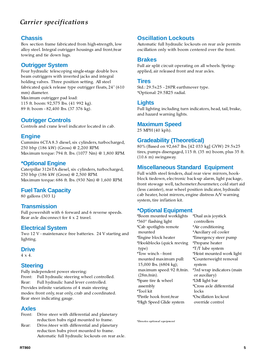# *Carrier specifications*

# **Chassis**

Box section frame fabricated from high-strength, low alloy steel. Integral outrigger housings and front/rear towing and tie down lugs.

# **Outrigger System**

Four hydraulic telescoping single-stage double box beam outriggers with inverted jacks and integral holding valves. Three position setting. All steel fabricated quick release type outrigger floats, 24" (610 mm) diameter. Maximum outrigger pad load: 115 ft. boom: 92,575 lbs. (41 992 kg).

89 ft. boom - 82,400 lbs. (37 376 kg).

# **Outrigger Controls**

Controls and crane level indicator located in cab.

# **Engine**

Cummins 6CTA 8.3 diesel, six cylinders, turbocharged, 250 bhp (186 kW) (Gross) @ 2,200 RPM. Maximum torque: 794 ft. lbs. (1077 Nm) @ 1,800 RPM.

# **\*Optional Engine**

Caterpillar 3126TA diesel, six cylinders, turbocharged, 250 bhp (186 kW (Gross) @ 2,500 RPM. Maximum torque: 686 ft. lbs. (930 Nm) @ 1,600 RPM.

# **Fuel Tank Capacity**

80 gallons (303 L)

# **Transmission**

Full powershift with 6 forward and 6 reverse speeds. Rear axle disconnect for 4 x 2 travel.

# **Electrical System**

Two 12 V - maintenance free batteries. 24 V starting and lighting.

# **Drive**

4 x 4.

# **Steering**

Fully independent power steering: Front: Full hydraulic steering wheel controlled. Rear: Full hydraulic hand lever controlled. Provides infinite variations of 4 main steering modes: front only, rear only, crab and coordinated. Rear steer indicating gauge.

# **Axles**

- Front: Drive steer with differential and planetary reduction hubs rigid mounted to frame.
- Rear: Drive/steer with differential and planetary reduction hubs pivot mounted to frame. Automatic full hydraulic lockouts on rear axle.

# **Oscillation Lockouts**

Automatic full hydraulic lockouts on rear axle permits oscillation only with boom centered over the front.

# **Brakes**

Full air split circuit operating on all wheels. Springapplied, air released front and rear axles.

# **Tires**

Std.: 29.5x25 - 28PR earthmover type. \*Optional: 29.5R25 radial.

# **Lights**

Full lighting including turn indicators, head, tail, brake, and hazard warning lights.

# **Maximum Speed**

25 MPH (40 kph).

# **Gradeability (Theoretical)**

80% (Based on 92,667 lbs. [42 033 kg] GVW) 29.5x25 tires, pumps disengaged, 115 ft. (35 m) boom, plus 35 ft. (10.6 m) swingaway.

# **Miscellaneous Standard Equipment**

Full width steel fenders, dual rear view mirrors, hookblock tiedown, electronic back-up alarm, light package, front stowage well, tachometer/hourmeter, cold start aid (less canister), rear wheel position indicator, hydraulic cab heater, hoist mirrors, engine distress A/V warning system, tire inflation kit.

# **\*Optional Equipment**

\*Boom mounted worklights \*360° flashing light \*Cab spotlights remote mounted \*Engine block heater \*Hookblocks (quick reeving type) \*Tow winch - front mounted maximum pull: 15,000 lbs. (6804 kg); maximum speed: 92 ft/min. (28m/min). \*Spare tire & wheel assembly \*Tool kit \*Pintle hook front/rear \*High Speed Glide system \*Dual axis joystick controllers \*Air conditioning \*Auxiliary oil cooler \*Emergency steer pump \*Propane heater \*T/T lube system \*Hoist mounted work light \*Counterweight removal system \*3rd wrap indicators (main or auxiliary) \*LMI light bar \*Cross axle differential locks \*Oscillation lockout override control

*\*Denotes optional equipment*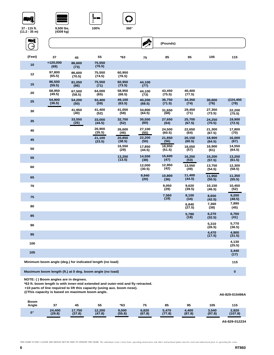# Wļ



**9,500 lbs. (4309 kg)**





**A** 

| <u>nif</u> |                                                          |                  |                  |                  |                  | (Pounds)         |                  |                  |                  |
|------------|----------------------------------------------------------|------------------|------------------|------------------|------------------|------------------|------------------|------------------|------------------|
| (Feet)     | 37                                                       | 45               | 55               | *63              | 75               | 85               | 95               | 105              | 115              |
| 10         | $+120,000$<br>(69)                                       | 86,600<br>(73)   | 75,550<br>(76.5) |                  |                  |                  |                  |                  |                  |
| 12         | 97,800<br>(65.5)                                         | 86,600<br>(70.5) | 75,550<br>(74.5) | 60,950<br>(76.5) |                  |                  |                  |                  |                  |
| 15         | 86,500<br>(59.5)                                         | 81,050<br>(66)   | 75,550<br>(71)   | 60,950<br>(73.5) | 44,100<br>(77)   |                  |                  |                  |                  |
| 20         | 68,950<br>(49.5)                                         | 67,500<br>(58.5) | 64,000<br>(65)   | 58,950<br>(68.5) | 44,100<br>(73)   | 43,450<br>(75.5) | 40,400<br>(77.5) |                  |                  |
| 25         | 54,900<br>(36.5)                                         | 54,200<br>(50)   | 53,400<br>(59)   | 49,100<br>(63.5) | 40,200<br>(68.5) | 36,750<br>(71.5) | 34,350<br>(74)   | 30,600<br>(76)   | @24,450<br>(78)  |
| 30         |                                                          | 41.950<br>(40)   | 41,400<br>(52)   | 41,050<br>(58)   | 34,800<br>(64.5) | 31,650<br>(68)   | 29,450<br>(71)   | 27,350<br>(73.5) | 22,200<br>(75.5) |
| 35         |                                                          | 33,550<br>(26)   | 33,000<br>(44.5) | 32,700<br>(52)   | 30,550<br>(60)   | 27,650<br>(64)   | 25,700<br>(67.5) | 24,250<br>(70.5) | 19,900<br>(72.5) |
| 40         |                                                          |                  | 26,900<br>(35.5) | 26,600<br>(46)   | 27,100<br>(55)   | 24.500<br>(60.5) | 22,650<br>(64)   | 21,300<br>(67.5) | 17,800<br>(70)   |
| 45         |                                                          |                  | 21,100<br>(23.5) | 20,850<br>(38.5) | 22,200<br>(50)   | 21.850<br>(56)   | 20,150<br>(60.5) | 18,900<br>(64.5) | 16,000<br>(67)   |
| 50         |                                                          |                  |                  | 16,550<br>(29)   | 17,850<br>(44.5) | 18,950<br>(51.5) | 18,050<br>(57)   | 16.900<br>(61)   | 14,550<br>(64.5) |
| 55         |                                                          |                  |                  | 13,250<br>(13.5) | 14,550<br>(38)   | 15,600<br>(47)   | 16,250<br>(53)   | 15,200<br>(57.5) | 13,250<br>(61.5) |
| 60         |                                                          |                  |                  |                  | 12,000<br>(30.5) | 12,950<br>(42)   | 13,550<br>(49)   | 13,750<br>(54.5) | 12,300<br>(58.5) |
| 65         |                                                          |                  |                  |                  | 9,940<br>(20)    | 10,800<br>(36)   | 11,400<br>(44.5) | 11,950<br>(50.5) | 11,350<br>(55.5) |
| 70         |                                                          |                  |                  |                  |                  | 9,050<br>(29)    | 9,620<br>(39.5)  | 10,150<br>(46.5) | 10,450<br>(52)   |
| 75         |                                                          |                  |                  |                  |                  | 7,560<br>(19)    | 8,100<br>(34)    | 8,650<br>(42.5)  | 9,200<br>(48.5)  |
| 80         |                                                          |                  |                  |                  |                  |                  | 6.840<br>(27.5)  | 7,360<br>(38)    | 7,890<br>(45)    |
| 85         |                                                          |                  |                  |                  |                  |                  | 5,780<br>(18)    | 6,270<br>(32.5)  | 6,760<br>(41)    |
| 90         |                                                          |                  |                  |                  |                  |                  |                  | 5,310<br>(26.5)  | 5,770<br>(36.5)  |
| 95         |                                                          |                  |                  |                  |                  |                  |                  | 4,470<br>(17.5)  | 4,900<br>(31.5)  |
| 100        |                                                          |                  |                  |                  |                  |                  |                  |                  | 4.130<br>(25.5)  |
| 105        |                                                          |                  |                  |                  |                  |                  |                  |                  | 3,440<br>(17)    |
|            | Minimum boom angle (deg.) for indicated length (no load) |                  |                  |                  |                  |                  |                  |                  | 115              |
|            | Maximum boom length (ft.) at 0 deg. boom angle (no load) |                  |                  |                  |                  |                  |                  |                  | $\bf{0}$         |

**NOTE: ( ) Boom angles are in degrees.**

**\*63 ft. boom length is with inner-mid extended and outer-mid and fly retracted.**

**+10 parts of line required to lift this capacity (using aux. boom nose).** 

|                      | @This capacity is based on maximum boom angle. |                  |                  |                 |                 | A6-829-015496A  |                 |                 |                  |
|----------------------|------------------------------------------------|------------------|------------------|-----------------|-----------------|-----------------|-----------------|-----------------|------------------|
| <b>Boom</b><br>Angle | 37                                             | 45               | 55               | *63             | 75              | 85              | 95              | 105             | 115              |
| $0^{\circ}$          | 24.400<br>(29.8)                               | 17,750<br>(37.8) | 12.200<br>(47.8) | 9,000<br>(55.8) | 6,820<br>(67.8) | 5.470<br>(77.8) | 4.400<br>(87.8) | 3,540<br>(97.8) | 2,820<br>(107.8) |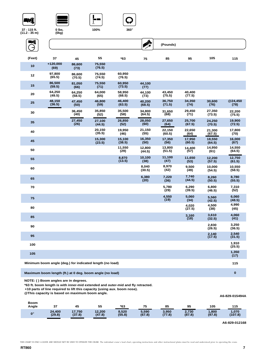





| 37 - 115 ft.<br>(11.2 - 35 m) | $0$ lbs.<br>(0kg)  |                  | 100%             | $360^\circ$      |                  |                  |                  |                  |                  |
|-------------------------------|--------------------|------------------|------------------|------------------|------------------|------------------|------------------|------------------|------------------|
| EMÎ                           |                    |                  |                  |                  | A.               | (Pounds)         |                  |                  |                  |
| (Feet)                        | 37                 | 45               | 55               | $*63$            | 75               | 85               | 95               | 105              | 115              |
| 10                            | $+120,000$<br>(69) | 86,600<br>(73)   | 75,550<br>(76.5) |                  |                  |                  |                  |                  |                  |
| 12                            | 97.800<br>(65.5)   | 86.600<br>(70.5) | 75,550<br>(74.5) | 60,950<br>(76.5) |                  |                  |                  |                  |                  |
| 15                            | 86,500<br>(59.5)   | 81,050<br>(66)   | 75,550<br>(71)   | 60,950<br>(73.5) | 44,100<br>(77)   |                  |                  |                  |                  |
| 20                            | 64,250<br>(49.5)   | 64,250<br>(58.5) | 64,000<br>(65)   | 58,950<br>(68.5) | 44,100<br>(73)   | 43,450<br>(75.5) | 40.400<br>(77.5) |                  |                  |
| 25                            | 48,150<br>(36.5)   | 47,450<br>(50)   | 46,800<br>(59)   | 46,400<br>(63.5) | 40,200<br>(68.5) | 36,750<br>(71.5) | 34,350<br>(74)   | 30,600<br>(76)   | @24,450<br>(78)  |
| 30                            |                    | 36,450<br>(40)   | 35,850<br>(52)   | 35,500<br>(58)   | 34,800<br>(64.5) | 31,650<br>(68)   | 29,450<br>(71)   | 27,350<br>(73.5) | 22,200<br>(75.5) |
| 35                            |                    | 27,450<br>(26)   | 27,100<br>(44.5) | 26,850<br>(52)   | 28,050<br>(60)   | 27,650<br>(64)   | 25,700<br>(67.5) | 24,250<br>(70.5) | 19,900<br>(72.5) |
| 40                            |                    |                  | 20,150<br>(35.5) | 19,950<br>(46)   | 21,150<br>(55)   | 22,150<br>(60.5) | 22,650<br>(64)   | 21,300<br>(67.5) | 17,800<br>(70)   |
| 45                            |                    |                  | 15,300<br>(23.5) | 15,100<br>(38.5) | 16,350<br>(50)   | 17,350<br>(56)   | 17,950<br>(60.5) | 18,550<br>(64.5) | 16,000<br>(67)   |
| 50                            |                    |                  |                  | 11,550<br>(29)   | 12,800<br>(44.5) | 13,800<br>(51.5) | 14,400<br>(57)   | 14,950<br>(61)   | 14,550<br>(64.5) |
| 55                            |                    |                  |                  | 8,870<br>(13.5)  | 10,100<br>(38)   | 11,100<br>(47)   | 11,650<br>(53)   | 12,200<br>(57.5) | 12,750<br>(61.5) |
| 60                            |                    |                  |                  |                  | 8.040<br>(30.5)  | 8,970<br>(42)    | 9.500<br>(49)    | 10,000<br>(54.5) | 10.550<br>(58.5) |
| 65                            |                    |                  |                  |                  | 6,380<br>(20)    | 7,220<br>(36)    | 7,740<br>(44.5)  | 8,260<br>(50.5)  | 8.780<br>(55.5)  |
| 70                            |                    |                  |                  |                  |                  | 5,780<br>(29)    | 6,290<br>(39.5)  | 6,800<br>(46.5)  | 7,310<br>(52)    |
| 75                            |                    |                  |                  |                  |                  | 4,550<br>(19)    | 5,060<br>(34)    | 5,560<br>(42.5)  | 6,060<br>(48.5)  |
| 80                            |                    |                  |                  |                  |                  |                  | 4.020<br>(27.5)  | 4,500<br>(38)    | 4,990<br>(45)    |
| 85                            |                    |                  |                  |                  |                  |                  | 3,160<br>(18)    | 3,610<br>(32.5)  | 4,060<br>(41)    |

**90 2,830 (26.5) 3,250 (36.5) <sup>95</sup> 2,140 (17.5) 2,540 (31.5) <sup>100</sup> 1,910 (25.5) <sup>105</sup> 1,350 (17) Minimum boom angle (deg.) for indicated length (no load) 115**

**Maximum boom length (ft.) at 0 deg. boom angle (no load) 0**

**NOTE: ( ) Boom angles are in degrees.**

**\*63 ft. boom length is with inner-mid extended and outer-mid and fly retracted.**

**+10 parts of line required to lift this capacity (using aux. boom nose).** 

**@This capacity is based on maximum boom angle.**

| <b>Boom</b><br>Angle | 37     | 45     | 55     | *63    | 75     | 85     | 95     | 105    | 115     |
|----------------------|--------|--------|--------|--------|--------|--------|--------|--------|---------|
| $0^{\circ}$          | 24,400 | 17,750 | 12,200 | 8,520  | 5,590  | 3,950  | 2,730  | ,800   | 1,070   |
|                      | (29.8) | (37.8) | (47.8) | (55.8) | (67.8) | (77.8) | (87.8) | (97.8) | (107.8) |

**A6-829-012168**

**A6-829-015494A**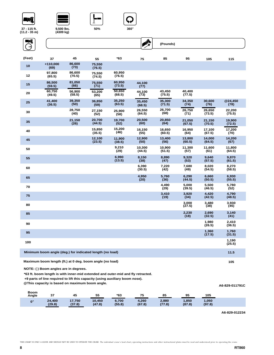# W.



**9,500 lbs.** 

**(4309 kg)**







| ENÎ<br>$\rightarrow$ |                                                          |                  |                  |                  | <b>A</b>         | (Pounds)         |                  |                  |                  |
|----------------------|----------------------------------------------------------|------------------|------------------|------------------|------------------|------------------|------------------|------------------|------------------|
| (Feet)               | 37                                                       | 45               | 55               | *63              | 75               | 85               | 95               | 105              | 115              |
| 10                   | $+110,000$<br>(69)                                       | 86,600<br>(73)   | 75,550<br>(76.5) |                  |                  |                  |                  |                  |                  |
| 12                   | 97,800<br>(65.5)                                         | 86,600<br>(70.5) | 75,550<br>(74.5) | 60,950<br>(76.5) |                  |                  |                  |                  |                  |
| 15                   | 86,500<br>(59.5)                                         | 81,050<br>(66)   | 75,550<br>(71)   | 60,950<br>(73.5) | 44,100<br>(77)   |                  |                  |                  |                  |
| 20                   | 60,750<br>(49.5)                                         | 56,900<br>(58.5) | 53.200<br>(65)   | 50.650<br>(68.5) | 44.100<br>(73)   | 43.450<br>(75.5) | 40,400<br>(77.5) |                  |                  |
| 25                   | 41,400<br>(36.5)                                         | 39,350<br>(50)   | 36.850<br>(59)   | 35,250<br>(63.5) | 35,450<br>(68.5) | 35,300<br>(71.5) | 34,350<br>(74)   | 30,600<br>(76)   | @24,450<br>(78)  |
| 30                   |                                                          | 28,750<br>(40)   | 27,150<br>(52)   | 25,900<br>(58)   | 26,550<br>(64.5) | 26,700<br>(68)   | 26,750<br>(71)   | 26,650<br>(73.5) | 22,200<br>(75.5) |
| 35                   |                                                          | 21,150<br>(26)   | 20,700<br>(44.5) | 19,700<br>(52)   | 20,500<br>(60)   | 20,850<br>(64)   | 21,050<br>(67.5) | 21,150<br>(70.5) | 19,900<br>(72.5) |
| 40                   |                                                          |                  | 15.850<br>(35.5) | 15,200<br>(46)   | 16.150<br>(55)   | 16,650<br>(60.5) | 16,950<br>(64)   | 17,100<br>(67.5) | 17,200<br>(70)   |
| 45                   |                                                          |                  | 12,100<br>(23.5) | 11.900<br>(38.5) | 12,900<br>(50)   | 13,400<br>(56)   | 13,800<br>(60.5) | 14,000<br>(64.5) | 14,200<br>(67)   |
| 50                   |                                                          |                  |                  | 9,210<br>(29)    | 10,300<br>(44.5) | 10,900<br>(51.5) | 11,300<br>(57)   | 11,600<br>(61)   | 11,800<br>(64.5) |
| 55                   |                                                          |                  |                  | 6,990<br>(13.5)  | 8,150<br>(38)    | 8,890<br>(47)    | 9,320<br>(53)    | 9,640<br>(57.5)  | 9,870<br>(61.5)  |
| 60                   |                                                          |                  |                  |                  | 6,390<br>(30.5)  | 7,220<br>(42)    | 7,680<br>(49)    | 8,020<br>(54.5)  | 8.270<br>(58.5)  |
| 65                   |                                                          |                  |                  |                  | 4,950<br>(20)    | 5,760<br>(36)    | 6,290<br>(44.5)  | 6,660<br>(50.5)  | 6.930<br>(55.5)  |
| 70                   |                                                          |                  |                  |                  |                  | 4.490<br>(29)    | 5.000<br>(39.5)  | 5.500<br>(46.5)  | 5.780<br>(52)    |
| 75                   |                                                          |                  |                  |                  |                  | 3,410<br>(19)    | 3,920<br>(34)    | 4,420<br>(42.5)  | 4,790<br>(48.5)  |
| 80                   |                                                          |                  |                  |                  |                  |                  | 3,000<br>(27.5)  | 3,480<br>(38)    | 3,930<br>(45)    |
| 85                   |                                                          |                  |                  |                  |                  |                  | 2,230<br>(18)    | 2,690<br>(32.5)  | 3,140<br>(41)    |
| 90                   |                                                          |                  |                  |                  |                  |                  |                  | 1,980<br>(26.5)  | 2,410<br>(36.5)  |
| 95                   |                                                          |                  |                  |                  |                  |                  |                  | 1,360<br>(17.5)  | 1,760<br>(31.5)  |
| 100                  |                                                          |                  |                  |                  |                  |                  |                  |                  | 1,190<br>(25.5)  |
|                      | Minimum boom angle (deg.) for indicated length (no load) |                  |                  |                  |                  |                  |                  |                  | 11.5             |

**Maximum boom length (ft.) at 0 deg. boom angle (no load) 105**

**NOTE: ( ) Boom angles are in degrees.**

**\*63 ft. boom length is with inner-mid extended and outer-mid and fly retracted.**

**+9 parts of line required to lift this capacity (using auxiliary boom nose).** 

**@This capacity is based on maximum boom angle.**

| Boom<br>Angle | 37               | 45               | 55               | *63             | 75              | 85              | 95             | 105             |  |
|---------------|------------------|------------------|------------------|-----------------|-----------------|-----------------|----------------|-----------------|--|
| $0^{\circ}$   | 24,400<br>(29.8) | 17,750<br>(37.8) | 10,450<br>(47.8) | 6,700<br>(55.8) | 4,260<br>(67.8) | 2,880<br>(77.8) | ,850<br>(87.8) | 1,050<br>(97.8) |  |
|               |                  |                  |                  |                 |                 |                 |                |                 |  |

**A6-829-012234**

**A6-829-011791C**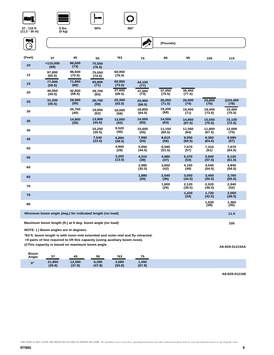







**0 lbs. (0 kg)**



| (Feet) | 37                                                       | 45               | 55               | $*63$            | 75               | 85               | 95               | 105              | 115              |
|--------|----------------------------------------------------------|------------------|------------------|------------------|------------------|------------------|------------------|------------------|------------------|
| 10     | +110,000<br>(69)                                         | 86,600<br>(73)   | 75,550<br>(76.5) |                  |                  |                  |                  |                  |                  |
| 12     | 97,800<br>(65.5)                                         | 86,600<br>(70.5) | 75,550<br>(74.5) | 60,950<br>(76.5) |                  |                  |                  |                  |                  |
| 15     | 77,900<br>(59.5)                                         | 71,850<br>(66)   | 65,800<br>(71)   | 60,950<br>(73.5) | 44,100<br>(77)   |                  |                  |                  |                  |
| 20     | 46,050<br>(49.5)                                         | 42,800<br>(58.5) | 39,700<br>(65)   | 37,600<br>(68.5) | 37,500<br>(73)   | 37,050<br>(75.5) | 36,450<br>(77.5) |                  |                  |
| 25     | 31,200<br>(36.5)                                         | 28,900<br>(50)   | 26,750<br>(59)   | 25,350<br>(63.5) | 25,900<br>(68.5) | 26,050<br>(71.5) | 26,000<br>(74)   | 25,800<br>(76)   | @24,450<br>(78)  |
| 30     |                                                          | 20,700<br>(40)   | 19,050<br>(52)   | 18,000<br>(58)   | 18,850<br>(64.5) | 19,200<br>(68)   | 19,400<br>(71)   | 19,450<br>(73.5) | 19,400<br>(75.5) |
| 35     |                                                          | 14,900<br>(26)   | 13,900<br>(44.5) | 13,050<br>(52)   | 14,050<br>(60)   | 14,550<br>(64)   | 14,850<br>(67.5) | 15,050<br>(70.5) | 15,100<br>(72.5) |
| 40     |                                                          |                  | 10,250<br>(35.5) | 9,520<br>(46)    | 10,600<br>(55)   | 11,150<br>(60.5) | 11,550<br>(64)   | 11,800<br>(67.5) | 12,000<br>(70)   |
| 45     |                                                          |                  | 7,540<br>(23.5)  | 6,860<br>(38.5)  | 7,990<br>(50)    | 8,610<br>(56)    | 9,050<br>(60.5)  | 9,360<br>(64.5)  | 9,580<br>(67)    |
| 50     |                                                          |                  |                  | 4,800<br>(29)    | 5,950<br>(44.5)  | 6,590<br>(51.5)  | 7,070<br>(57)    | 7,410<br>(61)    | 7,670<br>(64.5)  |
| 55     |                                                          |                  |                  | 3,200<br>(13.5)  | 4,310<br>(38)    | 4,980<br>(47)    | 5,470<br>(53)    | 5,840<br>(57.5)  | 6,120<br>(61.5)  |
| 60     |                                                          |                  |                  |                  | 2,980<br>(30.5)  | 3,650<br>(42)    | 4,150<br>(49)    | 4,540<br>(54.5)  | 4,840<br>(58.5)  |
| 65     |                                                          |                  |                  |                  | 1,880<br>(20)    | 2,540<br>(36)    | 3,050<br>(44.5)  | 3,450<br>(50.5)  | 3,760<br>(55.5)  |
| 70     |                                                          |                  |                  |                  |                  | 1,600<br>(29)    | 2,120<br>(39.5)  | 2,520<br>(46.5)  | 2,940<br>(52)    |
| 75     |                                                          |                  |                  |                  |                  |                  | 1,320<br>(34)    | 1,720<br>(42.5)  | 2,050<br>(48.5)  |
| 80     |                                                          |                  |                  |                  |                  |                  |                  | 1,030<br>(38)    | 1,360<br>(45)    |
|        | Minimum boom angle (deg.) for indicated length (no load) |                  |                  |                  |                  |                  |                  |                  | 11.5             |

**Maximum boom length (ft.) at 0 deg. boom angle (no load) 105**

**NOTE: ( ) Boom angles are in degrees.**

**\*63 ft. boom length is with inner-mid extended and outer-mid and fly retracted.**

**+9 parts of line required to lift this capacity (using auxiliary boom nose).** 

**@This capacity is based on maximum boom angle.**

**A6-829-012154A**

| Boom<br>Angle | 37     | 45     | 55     | *63    |        |
|---------------|--------|--------|--------|--------|--------|
| $0^{\circ}$   | 21,850 | 12,550 | 6,290  | 3,080  | 1,450  |
|               | (29.8) | (37.8) | (47.8) | (55.8) | (67.8) |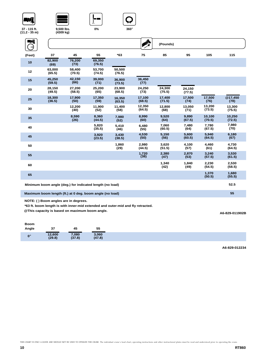

**9,500 lbs.** 

| $1.2 - 35$ m)       | (4309 kg)        |                  |                  |                  |                  |                  |                  |                  |                  |
|---------------------|------------------|------------------|------------------|------------------|------------------|------------------|------------------|------------------|------------------|
| NÎ<br>$\rightarrow$ |                  |                  |                  |                  | X                | (Pounds)         |                  |                  |                  |
| (Feet)              | 37               | 45               | 55               | $*63$            | 75               | 85               | 95               | 105              | 115              |
| 10                  | 82,900<br>(69)   | 76,200<br>(73)   | 69,350<br>(76.5) |                  |                  |                  |                  |                  |                  |
| 12                  | 63,000<br>(65.5) | 58,400<br>(70.5) | 53,700<br>(74.5) | 50,500<br>(76.5) |                  |                  |                  |                  |                  |
| 15                  | 45,250<br>(59.5) | 42,150<br>(66)   | 39,000<br>(71)   | 36,900<br>(73.5) | 36,450<br>(77)   |                  |                  |                  |                  |
| 20                  | 28,150<br>(49.5) | 27,200<br>(58.5) | 25,200<br>(65)   | 23,900<br>(68.5) | 24,250<br>(73)   | 24,300<br>(75.5) | 24,150<br>(77.5) |                  |                  |
| 25                  | 18,300<br>(36.5) | 17,900<br>(50)   | 17,350<br>(59)   | 16,350<br>(63.5) | 17,100<br>(68.5) | 17,400<br>(71.5) | 17,500<br>(74)   | 17,500<br>(76)   | @17,450<br>(78)  |
| 30                  |                  | 12,200<br>(40)   | 11,900<br>(52)   | 11,400<br>(58)   | 12,350<br>(64.5) | 12,800<br>(68)   | 13,050<br>(71)   | 13,200<br>(73.5) | 13,300<br>(75.5) |
| 35                  |                  | 8,590<br>(26)    | 8,360<br>(44.5)  | 7,980<br>(52)    | 8,990<br>(60)    | 9,520<br>(64)    | 9,890<br>(67.5)  | 10,100<br>(70.5) | 10,250<br>(72.5) |
| 40                  |                  |                  | 5,820<br>(35.5)  | 5,410<br>(46)    | 6,480<br>(55)    | 7,060<br>(60.5)  | 7,480<br>(64)    | 7.780<br>(67.5)  | 7,980<br>(70)    |
| 45                  |                  |                  | 3,920<br>(23.5)  | 3,430<br>(38.5)  | 4,530<br>(50)    | 5,150<br>(56)    | 5,600<br>(60.5)  | 5,940<br>(64.5)  | 6,180<br>(67)    |
| 50                  |                  |                  |                  | 1,860<br>(29)    | 2,980<br>(44.5)  | 3,620<br>(51.5)  | 4,100<br>(57)    | 4,460<br>(61)    | 4,730<br>(64.5)  |
| 55                  |                  |                  |                  |                  | 1,720<br>(38)    | 2,380<br>(47)    | 2,870<br>(53)    | 3,240<br>(57.5)  | 3,530<br>(61.5)  |
| 60                  |                  |                  |                  |                  |                  | 1,340<br>(42)    | 1,840<br>(49)    | 2,230<br>(54.5)  | 2,530<br>(58.5)  |
| 65                  |                  |                  |                  |                  |                  |                  |                  | 1,370<br>(50.5)  | 1,680<br>(55.5)  |
|                     |                  |                  |                  |                  |                  |                  |                  |                  |                  |

**0% 360**°

**Minimum boom angle (deg.) for indicated length (no load) 52.5**

**Maximum boom length (ft.) at 0 deg. boom angle (no load) 55**

**NOTE: ( ) Boom angles are in degrees.**

**\*63 ft. boom length is with inner-mid extended and outer-mid and fly retracted.**

**@This capacity is based on maximum boom angle.**

**A6-829-011902B**

| <b>Boom</b>          |                  |                 |                 |
|----------------------|------------------|-----------------|-----------------|
| Angle                | 37               | 45              | 55              |
| $\mathbf{0}^{\circ}$ | 12,600<br>(29.8) | 7,080<br>(37.8) | 3,060<br>(47.8) |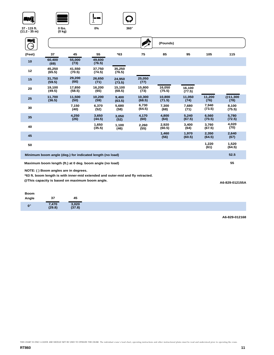





**0% 360**°

**37 - 115 ft. (11.2 - 35 m)**

| 0 lbs. |
|--------|
| (0 kg) |
|        |

| ШÎ     |                  |                                                          |                  |                  |                  | (Pounds)         |                  |                 |                 |
|--------|------------------|----------------------------------------------------------|------------------|------------------|------------------|------------------|------------------|-----------------|-----------------|
| (Feet) | 37               | 45                                                       | 55               | $*63$            | 75               | 85               | 95               | 105             | 115             |
| 10     | 60,400<br>(69)   | 55,000<br>(73)                                           | 49,600<br>(76.5) |                  |                  |                  |                  |                 |                 |
| 12     | 45,250<br>(65.5) | 41,550<br>(70.5)                                         | 37,750<br>(74.5) | 35,250<br>(76.5) |                  |                  |                  |                 |                 |
| 15     | 31,750<br>(59.5) | 29,200<br>(66)                                           | 26,650<br>(71)   | 24.950<br>(73.5) | 25,050<br>(77)   |                  |                  |                 |                 |
| 20     | 19,100<br>(49.5) | 17,850<br>(58.5)                                         | 16,200<br>(65)   | 15,100<br>(68.5) | 15,800<br>(73)   | 16,050<br>(75.5) | 16,100<br>(77.5) |                 |                 |
| 25     | 11,700<br>(36.5) | 11,500<br>(50)                                           | 10,200<br>(59)   | 9.400<br>(63.5)  | 10,300<br>(68.5) | 10,800<br>(71.5) | 11,050<br>(74)   | 11,200<br>(76)  | @11,300<br>(78) |
| 30     |                  | 7,150<br>(40)                                            | 6,370<br>(52)    | 5,680<br>(58)    | 6,730<br>(64.5)  | 7,300<br>(68)    | 7,680<br>(71)    | 7,940<br>(73.5) | 8.100<br>(75.5) |
| 35     |                  | 4,250<br>(26)                                            | 3,650<br>(44.5)  | 3,050<br>(52)    | 4,170<br>(60)    | 4,800<br>(64)    | 5.240<br>(67.5)  | 6,560<br>(70.5) | 5.780<br>(72.5) |
| 40     |                  |                                                          | 1,650<br>(35.5)  | 1,100<br>(46)    | 2,260<br>(55)    | 2,920<br>(60.5)  | 3,400<br>(64)    | 3,760<br>(67.5) | 4,020<br>(70)   |
| 45     |                  |                                                          |                  |                  |                  | 1,460<br>(56)    | 1,970<br>(60.5)  | 2,350<br>(64.5) | 2,640<br>(67)   |
| 50     |                  |                                                          |                  |                  |                  |                  |                  | 1,220<br>(61)   | 1,520<br>(64.5) |
|        |                  | Minimum boom angle (deg.) for indicated length (no load) |                  |                  |                  |                  |                  |                 | 52.5            |
|        |                  | Maximum boom length (ft.) at 0 deg. boom angle (no load) |                  |                  |                  |                  |                  |                 | 55              |

**NOTE: ( ) Boom angles are in degrees.**

**\*63 ft. boom length is with inner-mid extended and outer-mid and fly retracted.**

**@This capacity is based on maximum boom angle.**

**A6-829-012155A**

| 37<br>Angle<br>45<br>$3,020$<br>$(37.8)$<br>7,470<br>(29.8) |
|-------------------------------------------------------------|
|                                                             |
|                                                             |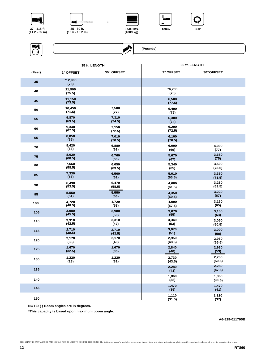











|        |                  | 35 ft. LENGTH   | 60 ft. LENGTH    |                 |  |
|--------|------------------|-----------------|------------------|-----------------|--|
| (Feet) | 2° OFFSET        | 30° OFFSET      | 2° OFFSET        | 30° OFFSET      |  |
| 35     | *12,900<br>(78)  |                 |                  |                 |  |
| 40     | 11,900<br>(75.5) |                 | $*6,700$<br>(78) |                 |  |
| 45     | 11,150<br>(73.5) |                 | 6,500<br>(77.5)  |                 |  |
| 50     | 10,450<br>(71.5) | 7,500<br>(77)   | 6,400<br>(76)    |                 |  |
| 55     | 9,870<br>(69.5)  | 7,310<br>(74.5) | 6,300<br>(74)    |                 |  |
| 60     | 9,340<br>(67.5)  | 7,150<br>(72.5) | 6,200<br>(72.5)  |                 |  |
| 65     | 8,850<br>(65)    | 7,010<br>(70.5) | 6,100<br>(70.5)  |                 |  |
| 70     | 8,420            | 6,880           | 6,000            | 4,000           |  |
|        | (63)             | (68)            | (69)             | (77)            |  |
| 75     | 8,020            | 6,760           | 5,670            | 3,680           |  |
|        | (60.5)           | (66)            | (67)             | (75)            |  |
| 80     | 7,660            | 6,650           | 5,340            | 3,500           |  |
|        | (58.5)           | (63.5)          | (65)             | (73.5)          |  |
| 85     | 7,330            | 6,560           | 5,010            | 3,350           |  |
|        | (56)             | (61)            | (63.5)           | (71.5)          |  |
| 90     | 6,490            | 6,470           | 4,680            | 3,280           |  |
|        | (53.5)           | (58.5)          | (61.5)           | (69.5)          |  |
| 95     | 5,550            | 5,550           | 4,350            | 3,220           |  |
|        | (51)             | (56)            | (59.5)           | (67)            |  |
| 100    | 4,720            | 4,720           | 4,000            | 3,160           |  |
|        | (48.5)           | (53)            | (57.5)           | (65)            |  |
| 105    | 3,980            | 3,980           | 3,670            | 3,100           |  |
|        | (45.5)           | (50)            | (55)             | (63)            |  |
| 110    | 3,310            | 3,310           | 3,340            | 3,050           |  |
|        | (42.5)           | (47)            | (53)             | (60.5)          |  |
| 115    | 2,710            | 2,710           | 3,070            | 3,000           |  |
|        | (39.5)           | (43.5)          | (51)             | (58)            |  |
| 120    | 2,170            | 2,170           | 2,950            | 2,960           |  |
|        | (36)             | (40)            | (48.5)           | (55.5)          |  |
| 125    | 1,670            | 1,670           | 2,840            | 2,930           |  |
|        | (32.5)           | (36)            | (46)             | (53)            |  |
| 130    | 1,220            | 1,220           | 2,730            | 2,730           |  |
|        | (28)             | (31)            | (43.5)           | (50.5)          |  |
| 135    |                  |                 | 2,280<br>(41)    | 2,280<br>(47.5) |  |
| 140    |                  |                 | 1,860<br>(38)    | 1,860<br>(44.5) |  |
| 145    |                  |                 | 1,470<br>(35)    | 1,470<br>(41)   |  |
| 150    |                  |                 | 1,110<br>(31.5)  | 1,110<br>(37)   |  |

**NOTE: ( ) Boom angles are in degrees.**

**\*This capacity is based upon maximum boom angle.**

**A6-829-011795B**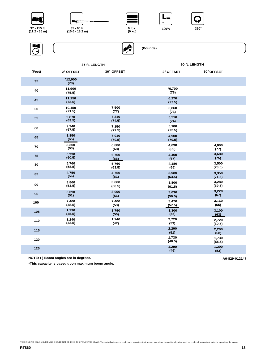











|        |                  | 35 ft. LENGTH   | 60 ft. LENGTH    |                 |  |  |
|--------|------------------|-----------------|------------------|-----------------|--|--|
| (Feet) | 2° OFFSET        | 30° OFFSET      | 2° OFFSET        | 30° OFFSET      |  |  |
| 35     | *12,900<br>(78)  |                 |                  |                 |  |  |
| 40     | 11,900<br>(75.5) |                 | $*6,700$<br>(78) |                 |  |  |
| 45     | 11,150<br>(73.5) |                 | 6,270<br>(77.5)  |                 |  |  |
| 50     | 10,450<br>(71.5) | 7,500<br>(77)   | 5,860<br>(76)    |                 |  |  |
| 55     | 9,870<br>(69.5)  | 7,310<br>(74.5) | 5,510<br>(74)    |                 |  |  |
| 60     | 9,340<br>(67.5)  | 7,150<br>(72.5) | 5,180<br>(72.5)  |                 |  |  |
| 65     | 8,850<br>(65)    | 7,010<br>(70.5) | 4,900<br>(70.5)  |                 |  |  |
| 70     | 8,300<br>(63)    | 6,880<br>(68)   | 4,630<br>(69)    | 4,000<br>(77)   |  |  |
| 75     | 6,930<br>(60.5)  | 6,760<br>(66)   | 4,400<br>(67)    | 3,680<br>(75)   |  |  |
| 80     | 5,760<br>(58.5)  | 5,760<br>(63.5) | 4,180<br>(65)    | 3,500<br>(73.5) |  |  |
| 85     | 4,750<br>(56)    | 4,750<br>(61)   | 3,980<br>(63.5)  | 3,350<br>(71.5) |  |  |
| 90     | 3,860<br>(53.5)  | 3,860<br>(58.5) | 3,800<br>(61.5)  | 3,280<br>(69.5) |  |  |
| 95     | 3,090<br>(51)    | 3,090<br>(56)   | 3,630<br>(59.5)  | 3,220<br>(67)   |  |  |
| 100    | 2,400<br>(48.5)  | 2,400<br>(53)   | 3,470<br>(57.5)  | 3,160<br>(65)   |  |  |
| 105    | 1,790<br>(45.5)  | 1,790<br>(50)   | 3,300<br>(55)    | 3,100<br>(63)   |  |  |
| 110    | 1,240<br>(42.5)  | 1,240<br>(47)   | 2,720<br>(53)    | 2,720<br>(60.5) |  |  |
| 115    |                  |                 | 2,200<br>(51)    | 2,200<br>(58)   |  |  |
| 120    |                  |                 | 1,730<br>(48.5)  | 1,730<br>(55.5) |  |  |
| 125    |                  |                 | 1,290<br>(46)    | 1,290<br>(53)   |  |  |
|        |                  |                 |                  |                 |  |  |

**NOTE: ( ) Boom angles are in degrees. A6-829-012147** 

**\*This capacity is based upon maximum boom angle.**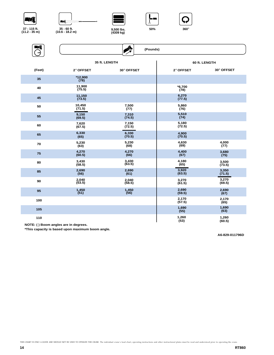









ENT ◈  **(Pounds)** × **35 ft. LENGTH 60 ft. LENGTH**

|        |                   | <b>33 IL LENGIN</b> |                  | <b>OUTL</b> LENGIN |
|--------|-------------------|---------------------|------------------|--------------------|
| (Feet) | 2° OFFSET         | 30° OFFSET          | 2° OFFSET        | 30° OFFSET         |
| 35     | *12,900<br>(78)   |                     |                  |                    |
| 40     | 11,900<br>(75.5)  |                     | $*6,700$<br>(78) |                    |
| 45     | 11,150<br>(73.5)  |                     | 6,270<br>(77.5)  |                    |
| 50     | 10,450<br>(71.5)  | 7,500<br>(77)       | 5,860<br>(76)    |                    |
| 55     | 9,150<br>(69.5)   | 7,310<br>(74.5)     | 5,510<br>(74)    |                    |
| 60     | 7,620<br>(67.5)   | 7,150<br>(72.5)     | 5,180<br>(72.5)  |                    |
| 65     | 6,330<br>(65)     | 6,330<br>(70.5)     | 4,900<br>(70.5)  |                    |
| 70     | 5,230<br>(63)     | 5,230<br>(68)       | 4,630<br>(69)    | 4,000<br>(77)      |
| 75     | 4,270<br>(60.5)   | 4,270<br>(66)       | 4,400<br>(67)    | 3,680<br>(75)      |
| 80     | 3,430<br>(58.5)   | 3,430<br>(63.5)     | 4,180<br>(65)    | 3,500<br>(73.5)    |
| 85     | 2,690<br>(56)     | 2,690<br>(61)       | 3,920<br>(63.5)  | 3,350<br>(71.5)    |
| 90     | $2,040$<br>(53.5) | $2,040$<br>(58.5)   | 3,270<br>(61.5)  | 3,270<br>(69.5)    |
| 95     | $1,450$<br>(51)   | 1,450<br>(56)       | 2,690<br>(59.5)  | 2,690<br>(67)      |
| 100    |                   |                     | 2,170<br>(57.5)  | 2,170<br>(65)      |
| 105    |                   |                     | 1,690<br>(55)    | 1,690<br>(63)      |
| 110    |                   |                     | 1,260<br>(53)    | 1,260<br>(60.5)    |

**NOTE: ( ) Boom angles are in degrees.**

**\*This capacity is based upon maximum boom angle.**

**A6-829-011796D**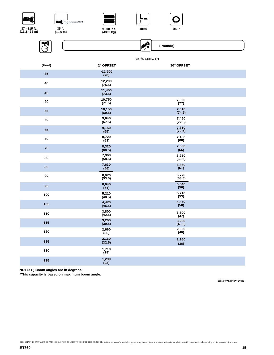













 **(Pounds)**

# **35 ft. LENGTH**

 $\mathbb{R}$ 

| (Feet) | 2° OFFSET        | 30° OFFSET      |  |
|--------|------------------|-----------------|--|
| 35     | *12,900<br>(78)  |                 |  |
| 40     | 12,200<br>(75.5) |                 |  |
| 45     | 11,450<br>(73.5) |                 |  |
| 50     | 10,750<br>(71.5) | 7,800<br>(77)   |  |
| 55     | 10,150<br>(69.5) | 7,610<br>(74.5) |  |
| 60     | 9,640<br>(67.5)  | 7,450<br>(72.5) |  |
| 65     | 9,150<br>(65)    | 7,310<br>(70.5) |  |
| 70     | 8,720<br>(63)    | 7,180<br>(68)   |  |
| 75     | 8,320<br>(60.5)  | 7,060<br>(66)   |  |
| 80     | 7,960<br>(58.5)  | 6,950<br>(63.5) |  |
| 85     | 7,630<br>(56)    | 6,860<br>(61)   |  |
| 90     | 6,970<br>(53.5)  | 6,770<br>(58.5) |  |
| 95     | 6,040<br>(51)    | 6,040<br>(56)   |  |
| 100    | 5,210<br>(48.5)  | 5,210<br>(53)   |  |
| 105    | 4,470<br>(45.5)  | 4,470<br>(50)   |  |
| 110    | 3,800<br>(42.5)  | 3,800<br>(47)   |  |
| 115    | 3,200<br>(39.5)  | 3,200<br>(43.5) |  |
| 120    | 2,660<br>(36)    | 2,660<br>(40)   |  |
| 125    | 2,160<br>(32.5)  | 2,160<br>(36)   |  |
| 130    | 1,710<br>(28)    |                 |  |
| 135    | 1,290<br>(23)    |                 |  |

**NOTE: ( ) Boom angles are in degrees.**

**\*This capacity is based on maximum boom angle.**

**A6-829-012129A**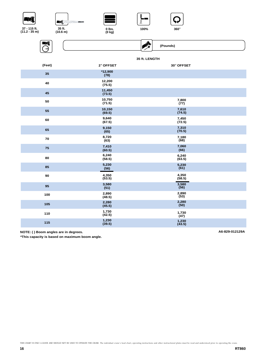













**35 ft. LENGTH**

| (Feet) | 2° OFFSET        | 30° OFFSET      |
|--------|------------------|-----------------|
| 35     | *12,900<br>(78)  |                 |
| 40     | 12,200<br>(75.5) |                 |
| 45     | 11,450<br>(73.5) |                 |
| 50     | 10,750<br>(71.5) | 7,800<br>(77)   |
| 55     | 10,150<br>(69.5) | 7,610<br>(74.5) |
| 60     | 9,640<br>(67.5)  | 7,450<br>(72.5) |
| 65     | 9,150<br>(65)    | 7,310<br>(70.5) |
| 70     | 8,720<br>(63)    | 7,180<br>(68)   |
| 75     | 7,410<br>(60.5)  | 7,060<br>(66)   |
| 80     | 6,240<br>(58.5)  | 6,240<br>(63.5) |
| 85     | 5,230<br>(56)    | 5,230<br>(61)   |
| 90     | 4,350<br>(53.5)  | 4,350<br>(58.5) |
| 95     | 3,580<br>(51)    | 3,580<br>(56)   |
| 100    | 2,890<br>(48.5)  | 2,890<br>(53)   |
| 105    | 2,280<br>(45.5)  | 2,280<br>(50)   |
| 110    | 1,730<br>(42.5)  | 1,730<br>(47)   |
| 115    | 1,230<br>(39.5)  | 1,230<br>(43.5) |

**NOTE: ( ) Boom angles are in degrees. A6-829-012129A**

**\*This capacity is based on maximum boom angle.**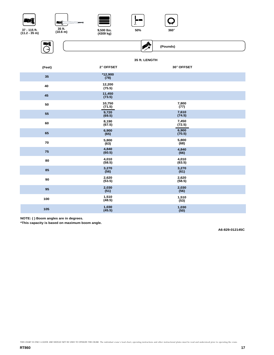



**9,500 lbs. (4309 kg)**





**37 - 115 ft. (11.2 - 35 m)**



 **(Pounds)**

### **35 ft. LENGTH**

"

| (Feet) | 2° OFFSET         | 30° OFFSET      |
|--------|-------------------|-----------------|
| 35     | $*12,900$<br>(78) |                 |
| 40     | 12,200<br>(75.5)  |                 |
| 45     | 11,450<br>(73.5)  |                 |
| 50     | 10,750<br>(71.5)  | 7,800<br>(77)   |
| 55     | 9,720<br>(69.5)   | 7,610<br>(74.5) |
| 60     | 8,190<br>(67.5)   | 7,450<br>(72.5) |
| 65     | 6,900<br>(65)     | 6,900<br>(70.5) |
| 70     | 5,800<br>(63)     | 5,800<br>(68)   |
| 75     | 4,840<br>(60.5)   | 4,840<br>(66)   |
| 80     | 4,010<br>(58.5)   | 4,010<br>(63.5) |
| 85     | 3,270<br>(56)     | 3,270<br>(61)   |
| 90     | 2,620<br>(53.5)   | 2,620<br>(58.5) |
| 95     | 2,030<br>(51)     | 2,030<br>(56)   |
| 100    | 1,510<br>(48.5)   | 1,510<br>(53)   |
| 105    | 1,030<br>(45.5)   | 1,030<br>(50)   |

**NOTE: ( ) Boom angles are in degrees.**

**\*This capacity is based on maximum boom angle.**

**A6-829-012145C**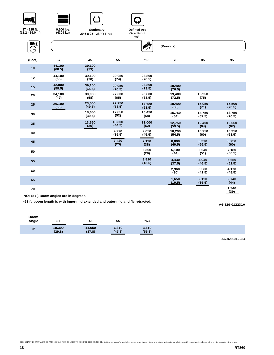







 $\overline{\mathbb{M}}$ 



**9,500 lbs. (4309 kg)**

**29.5 x 25 - 28PR Tires Stationary**





| (Feet) | 37               | 45               | 55               | $*63$            | 75               | 85               | 95               |
|--------|------------------|------------------|------------------|------------------|------------------|------------------|------------------|
| 10     | 44,100<br>(68.5) | 39,100<br>(73)   |                  |                  |                  |                  |                  |
| 12     | 44,100<br>(65)   | 39,100<br>(70)   | 29,950<br>(74)   | 23,800<br>(76.5) |                  |                  |                  |
| 15     | 42,800<br>(59.5) | 39,100<br>(65.5) | 29,950<br>(70.5) | 23,800<br>(73.5) | 19,400<br>(76.5) |                  |                  |
| 20     | 34,100<br>(49)   | 30,000<br>(58)   | 27,600<br>(65)   | 23,800<br>(68.5) | 19,400<br>(72.5) | 15,950<br>(75)   |                  |
| 25     | 26,100<br>(36)   | 23,500<br>(49.5) | 22,250<br>(58.5) | 19,900<br>(63.5) | 19,400<br>(68)   | 15,950<br>(71)   | 15,500<br>(73.5) |
| 30     |                  | 18,650<br>(39.5) | 17,850<br>(52)   | 16,450<br>(58)   | 15,750<br>(64)   | 14,750<br>(67.5) | 13,750<br>(70.5) |
| 35     |                  | 13,650<br>(26)   | 13,300<br>(44.5) | 13,000<br>(52)   | 12,750<br>(59.5) | 12,400<br>(64)   | 12,050<br>(67)   |
| 40     |                  |                  | 9,920<br>(35.5)  | 9,650<br>(45.5)  | 10,200<br>(54.5) | 10,250<br>(60)   | 10,350<br>(63.5) |
| 45     |                  |                  | 7,420<br>(23)    | 7,190<br>(38)    | 8,000<br>(49.5)  | 8,370<br>(55.5)  | 8,750<br>(60)    |
| 50     |                  |                  |                  | 5,300<br>(29)    | 6,100<br>(44)    | 6,640<br>(51)    | 7,180<br>(56.5)  |
| 55     |                  |                  |                  | 3,810<br>(13.5)  | 4,430<br>(37.5)  | 4,940<br>(46.5)  | 5,650<br>(52.5)  |
| 60     |                  |                  |                  |                  | 2,960<br>(30)    | 3.560<br>(41.5)  | 4,170<br>(48.5)  |
| 65     |                  |                  |                  |                  | 1,650<br>(19.5)  | 2,190<br>(35.5)  | 2,740<br>(44)    |
| 70     |                  |                  |                  |                  |                  |                  | 1,340<br>(39)    |

**NOTE: ( ) Boom angles are in degrees.**

**\*63 ft. boom length is with inner-mid extended and outer-mid and fly retracted.**

**A6-829-012231A**

| $0^\circ$ | 19,300 | 11,650 | 6,310  | 3,610  |
|-----------|--------|--------|--------|--------|
|           | (29.8) | (37.8) | (47.8) | (55.8) |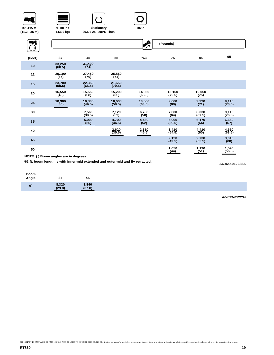





**29.5 x 25 - 28PR Tires Stationary**



| WÎ<br>⇥ |                  |                  |                  | X                | (Pounds)         |                 |                   |
|---------|------------------|------------------|------------------|------------------|------------------|-----------------|-------------------|
| (Feet)  | 37               | 45               | 55               | $*63$            | 75               | 85              | 95                |
| 10      | 33,250<br>(68.5) | 31,400<br>(73)   |                  |                  |                  |                 |                   |
| 12      | 29,100<br>(65)   | 27,450<br>(70)   | 25,850<br>(74)   |                  |                  |                 |                   |
| 15      | 23,700<br>(59.5) | 22,350<br>(65.5) | 21,650<br>(70.5) |                  |                  |                 |                   |
| 20      | 16,550<br>(49)   | 15,550<br>(58)   | 15,200<br>(65)   | 14,950<br>(68.5) | 13,150<br>(72.5) | 12,050<br>(75)  |                   |
| 25      | 10,900<br>(36)   | 10,800<br>(49.5) | 10,600<br>(58.5) | 10,500<br>(63.5) | 9,600<br>(68)    | 9,990<br>(71)   | $9,110$<br>(73.5) |
| 30      |                  | 7,560<br>(39.5)  | 7,120<br>(52)    | 6,780<br>(58)    | 7,000<br>(64)    | 8,030<br>(67.5) | 9,110<br>(70.5)   |
| 35      |                  | 5,000<br>(26)    | 4,700<br>(44.5)  | 4,460<br>(52)    | 5,000<br>(59.5)  | 6,170<br>(64)   | 6,650<br>(67)     |
| 40      |                  |                  | 2,620<br>(35.5)  | 2,310<br>(45.5)  | 3,410<br>(54.5)  | 4,410<br>(60)   | 4,650<br>(63.5)   |
| 45      |                  |                  |                  |                  | 2,120<br>(49.5)  | 2,730<br>(55.5) | 3,010<br>(60)     |
| 50      |                  |                  |                  |                  | 1,050<br>(44)    | 1,130<br>(51)   | 1,590<br>(56.5)   |

**NOTE: ( ) Boom angles are in degrees.**

**\*63 ft. boom length is with inner-mid extended and outer-mid and fly retracted.**

**A6-829-012232A**

**A6-829-012234**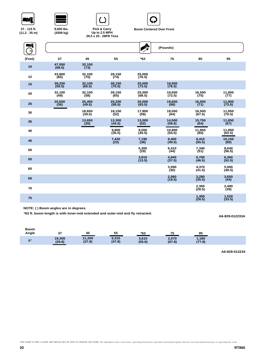





**9,500 lbs. (4309 kg)**



**29.5 x 25 - 28PR Tires Pick & Carry Up to 2.5 MPH** 



| NÎ     |                  |                  |                  | <b>Alle</b>      | (Pounds)         |                  |                  |
|--------|------------------|------------------|------------------|------------------|------------------|------------------|------------------|
| (Feet) | 37               | 45               | 55               | $*63$            | 75               | 85               | 95               |
| 10     | 47.050<br>(68.5) | 32,100<br>(73)   |                  |                  |                  |                  |                  |
| 12     | 43.800<br>(65)   | 32.100<br>(70)   | 28.150<br>(74)   | 25.000<br>(76.5) |                  |                  |                  |
| 15     | 39,200<br>(59.5) | 32,100<br>(65.5) | 28,150<br>(70.5) | 25,000<br>(73.5) | 19,650<br>(76.5) |                  |                  |
| 20     | 32,100<br>(49)   | 32,100<br>(58)   | 28,150<br>(65)   | 25,000<br>(68.5) | 19,650<br>(72.5) | 16,500<br>(75)   | 11,850<br>(77)   |
| 25     | 25.650<br>(36)   | 25.450<br>(49.5) | 25.200<br>(58.5) | 25.000<br>(63.5) | 19.650<br>(68)   | 16.500<br>(71)   | 11.850<br>(73.5) |
| 30     |                  | 18,650<br>(39.5) | 18,150<br>(52)   | 17,800<br>(58)   | 18,050<br>(64)   | 16,500<br>(67.5) | 11,850<br>(70.5) |
| 35     |                  | 13,650<br>(26)   | 13,300<br>(44.5) | 13,000<br>(52)   | 14.500<br>(59.5) | 15,750<br>(64)   | 11,850<br>(67)   |
| 40     |                  |                  | 9,800<br>(35.5)  | 9,550<br>(45.5)  | 10.800<br>(54.5) | 11,850<br>(60)   | 11,850<br>(63.5) |
| 45     |                  |                  | 7,420<br>(23)    | 7,190<br>(38)    | 8.400<br>(49.5)  | 9.410<br>(55.5)  | 10,150<br>(60)   |
| 50     |                  |                  |                  | 5,300<br>(29)    | 6,410<br>(44)    | 7,340<br>(51)    | 8,040<br>(56.5)  |
| 55     |                  |                  |                  | 3,810<br>(13.5)  | 4,840<br>(37.5)  | 5,700<br>(46.5)  | 6,360<br>(52.5)  |
| 60     |                  |                  |                  |                  | 3,590<br>(30)    | 4,370<br>(41.5)  | 5,000<br>(48.5)  |
| 65     |                  |                  |                  |                  | 2.560<br>(19.5)  | 3,280<br>(35.5)  | 3,650<br>(44)    |
| 70     |                  |                  |                  |                  |                  | 2,300<br>(28.5)  | 2,400<br>(39)    |
| 75     |                  |                  |                  |                  |                  | 1,400<br>(28.5)  | 1,520<br>(33.5)  |

**NOTE: ( ) Boom angles are in degrees.**

**\*63 ft. boom length is with inner-mid extended and outer-mid and fly retracted.**

#### **A6-829-012233A**

| <b>Boom</b><br>Angle | 37     | 45     | 55     | *63    | 75     | 85     |
|----------------------|--------|--------|--------|--------|--------|--------|
| $0^\circ$            | 19,300 | 11,200 | 6,310  | 3,610  | 2,070  | 1,180  |
|                      | (29.8) | (37.8) | (47.8) | (55.8) | (67.8) | (77.8) |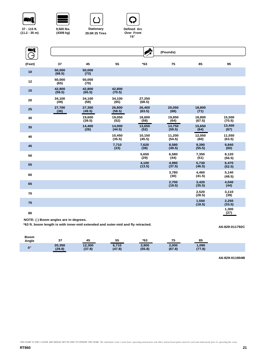











**(4309 kg) 29.5R 25 Tires Stationary**



| NÎ     |                  |                  |                  | $\begin{picture}(20,20) \put(0,0){\line(1,0){10}} \put(15,0){\line(1,0){10}} \put(15,0){\line(1,0){10}} \put(15,0){\line(1,0){10}} \put(15,0){\line(1,0){10}} \put(15,0){\line(1,0){10}} \put(15,0){\line(1,0){10}} \put(15,0){\line(1,0){10}} \put(15,0){\line(1,0){10}} \put(15,0){\line(1,0){10}} \put(15,0){\line(1,0){10}} \put(15,0){\line(1$ | (Pounds)         |                  |                  |
|--------|------------------|------------------|------------------|-----------------------------------------------------------------------------------------------------------------------------------------------------------------------------------------------------------------------------------------------------------------------------------------------------------------------------------------------------|------------------|------------------|------------------|
| (Feet) | 37               | 45               | 55               | $*63$                                                                                                                                                                                                                                                                                                                                               | 75               | 85               | 95               |
| 10     | 50,000<br>(68.5) | 50,000<br>(73)   |                  |                                                                                                                                                                                                                                                                                                                                                     |                  |                  |                  |
| 12     | 50.000<br>(65)   | 50,000<br>(70)   |                  |                                                                                                                                                                                                                                                                                                                                                     |                  |                  |                  |
| 15     | 42.800<br>(59.5) | 42.800<br>(65.5) | 42,800<br>(70.5) |                                                                                                                                                                                                                                                                                                                                                     |                  |                  |                  |
| 20     | 34,100<br>(49)   | 34,100<br>(58)   | 34,100<br>(65)   | 27,250<br>(68.5)                                                                                                                                                                                                                                                                                                                                    |                  |                  |                  |
| 25     | 27,700<br>(36)   | 27,300<br>(49.5) | 26,800<br>(58.5) | 26,400<br>(63.5)                                                                                                                                                                                                                                                                                                                                    | 20,050<br>(68)   | 18,800<br>(71)   |                  |
| 30     |                  | 19,600<br>(39.5) | 19,050<br>(52)   | 18,600<br>(58)                                                                                                                                                                                                                                                                                                                                      | 19,850<br>(64)   | 18,800<br>(67.5) | 15,500<br>(70.5) |
| 35     |                  | 14,400<br>(26)   | 14.000<br>(44.5) | 13,650<br>(52)                                                                                                                                                                                                                                                                                                                                      | 14,750<br>(59.5) | 15,650<br>(64)   | 13,400<br>(67)   |
| 40     |                  |                  | 10,450<br>(35.5) | 10,150<br>(45.5)                                                                                                                                                                                                                                                                                                                                    | 11,200<br>(54.5) | 12,050<br>(60)   | 11,550<br>(63.5) |
| 45     |                  |                  | 7,710<br>(23)    | 7,620<br>(38)                                                                                                                                                                                                                                                                                                                                       | 8,580<br>(49.5)  | 9,390<br>(55.5)  | 9,840<br>(60)    |
| 50     |                  |                  |                  | 5,650<br>(29)                                                                                                                                                                                                                                                                                                                                       | 6,580<br>(44)    | 7,350<br>(51)    | 8,120<br>(56.5)  |
| 55     |                  |                  |                  | 4,100<br>(13.5)                                                                                                                                                                                                                                                                                                                                     | 4,990<br>(37.5)  | 5,730<br>(46.5)  | 6,470<br>(52.5)  |
| 60     |                  |                  |                  |                                                                                                                                                                                                                                                                                                                                                     | 3,780<br>(30)    | 4,460<br>(41.5)  | 5,140<br>(48.5)  |
| 65     |                  |                  |                  |                                                                                                                                                                                                                                                                                                                                                     | 2,700<br>(19.5)  | 3,420<br>(35.5)  | 4,040<br>(44)    |
| 70     |                  |                  |                  |                                                                                                                                                                                                                                                                                                                                                     |                  | 2,520<br>(28.5)  | 3,110<br>(39)    |
| 75     |                  |                  |                  |                                                                                                                                                                                                                                                                                                                                                     |                  | 1,550<br>(18.5)  | 2,250<br>(33.5)  |
| 80     |                  |                  |                  |                                                                                                                                                                                                                                                                                                                                                     |                  |                  | 1,300<br>(27)    |

**NOTE: ( ) Boom angles are in degrees.**

**\*63 ft. boom length is with inner-mid extended and outer-mid and fly retracted.**

#### **A6-829-011792C**

| <b>Boom</b><br>Angle | 37     | 45     | 55     | *63    | 75     | 85     |
|----------------------|--------|--------|--------|--------|--------|--------|
| $\mathbf{0}^{\circ}$ | 20,350 | 12,300 | 6,710  | 3,900  | 2,000  | 1,090  |
|                      | (29.8) | (37.8) | (47.8) | (55.8) | (67.8) | (77.8) |

**A6-829-011904B**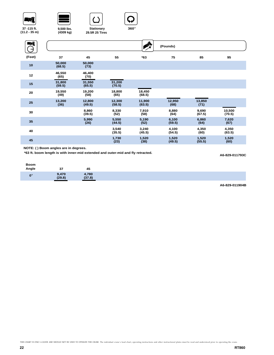

 $\bigodot^2$ 





**37 -115 ft. (11.2 - 35 m)** **(4309 kg) 29.5R 25 Tires**

**9,500 lbs. 360**° **Stationary**



#### **ENT** A **(Pounds) (Feet) 37 45 55 \*63 75 85 95 50,000 <sup>10</sup> 50,000 (68.5) (73) <sup>12</sup> 46,550 46,400 (65) (70) <sup>15</sup> 31,800 31,550 31,200 (70.5) (59.5) (65.5) 20 19,550 19,200 18,800 18,450 (49) (58) (65) (68.5) <sup>25</sup> 13,200 12,950 13,850 12,800 12,300 11,900 (63.5) (49.5) (58.5) (36) (68) (71) 8,330 7,910 8,880 9,690 10,500 <sup>30</sup> 8,860 (39.5) (52) (58) (64) (67.5) (70.5) 5,550 5,190 6,100 6,860 7,620 <sup>35</sup> 5,990 (26) (44.5) (52) (59.5) (64) (67)**

**3,240 (45.5)**

**1,520 (38)**

**4,100 (54.5)**

**1,520 (49.5)** **4,350 (60)**

**1,520 (55.5)**

**NOTE: ( ) Boom angles are in degrees.**

**\*63 ft. boom length is with inner-mid extended and outer-mid and fly retracted.**

**<sup>40</sup> 3,540**

**<sup>45</sup> 1,730 (23)**

**A6-829-011793C**

**4,350 (63.5)**

**1,520 (60)**

| Boom<br>Angle | 27<br>J1.      | 45              |  |  |
|---------------|----------------|-----------------|--|--|
| $\mathbf{n}$  | ,470<br>(29.8) | 4,780<br>(37.8) |  |  |

**(35.5)**

**A6-829-011904B**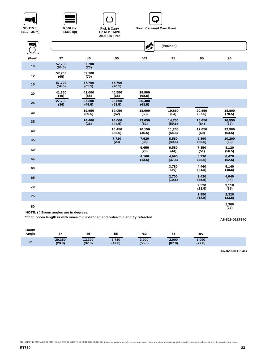

| 37 - 115 ft.     |  |  |
|------------------|--|--|
| $(11.2 - 35)$ m) |  |  |



**(4309 kg)**





| Цľ     |                  |                  |                  | Ą                | (Pounds)         |                  |                  |
|--------|------------------|------------------|------------------|------------------|------------------|------------------|------------------|
| (Feet) | 37               | 45               | 55               | $*63$            | 75               | 85               | 95               |
| 10     | 57,700<br>(68.5) | 57,700<br>(73)   |                  |                  |                  |                  |                  |
| 12     | 57,700<br>(65)   | 57,700<br>(70)   |                  |                  |                  |                  |                  |
| 15     | 57,700<br>(59.5) | 57,700<br>(65.5) | 57,700<br>(70.5) |                  |                  |                  |                  |
| 20     | 41,350<br>(49)   | 41,000<br>(58)   | 40,550<br>(65)   | 29,900<br>(68.5) |                  |                  |                  |
| 25     | 27,700<br>(36)   | 27,300<br>(49.5) | 26,800<br>(58.5) | 26,400<br>(63.5) |                  |                  |                  |
| 30     |                  | 19,550<br>(39.5) | 19,050<br>(52)   | 18,600<br>(58)   | 19,850<br>(64)   | 20,850<br>(67.5) | 18,800<br>(70.5) |
| 35     |                  | 14,400<br>(26)   | 14,000<br>(44.5) | 13,650<br>(52)   | 14,750<br>(59.5) | 15,650<br>(64)   | 16,550<br>(67)   |
| 40     |                  |                  | 10,450<br>(35.5) | 10,150<br>(45.5) | 11,200<br>(54.5) | 12,050<br>(60)   | 12,900<br>(63.5) |
| 45     |                  |                  | 7,710<br>(23)    | 7,620<br>(38)    | 8,580<br>(49.5)  | 9,390<br>(55.5)  | 10,200<br>(60)   |
| 50     |                  |                  |                  | 5,650<br>(29)    | 6,580<br>(44)    | 7,350<br>(51)    | 8,120<br>(56.5)  |
| 55     |                  |                  |                  | 4,100<br>(13.5)  | 4,990<br>(37.5)  | 5,730<br>(46.5)  | 6,470<br>(52.5)  |
| 60     |                  |                  |                  |                  | 3,780<br>(30)    | 4,460<br>(41.5)  | 5,140<br>(48.5)  |
| 65     |                  |                  |                  |                  | 2,700<br>(19.5)  | 3,420<br>(35.5)  | 4,040<br>(44)    |
| 70     |                  |                  |                  |                  |                  | 2,520<br>(28.5)  | 3,110<br>(39)    |
| 75     |                  |                  |                  |                  |                  | 1,550<br>(18.5)  | 2,320<br>(33.5)  |
| 80     |                  |                  |                  |                  |                  |                  | 1,300<br>(27)    |

**NOTE: ( ) Boom angles are in degrees.**

**\*63 ft. boom length is with inner-mid extended and outer-mid and fly retracted.**

### **A6-829-011794C**

| Angle<br>$*63$<br>37<br>75<br>55<br>45<br>85                                                                                             |
|------------------------------------------------------------------------------------------------------------------------------------------|
| 20,350<br>3,900<br>12,300<br>1,090<br>2,000<br>6,710<br>$\mathbf{0}^{\circ}$<br>(47.8)<br>(67.8)<br>(77.8)<br>(37.8)<br>(55.8)<br>(29.8) |

**A6-829-011904B**

THIS CHART IS ONLY A GUIDE AND SHOULD NOT BE USED TO OPERATE THE CRANE. The individual crane's load chart, operating instructions and other instructional plates must be read and understood prior to operating the crane.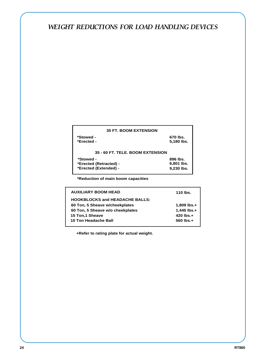# *WEIGHT REDUCTIONS FOR LOAD HANDLING DEVICES*

| <b>35 FT. BOOM EXTENSION</b>     |            |  |  |  |
|----------------------------------|------------|--|--|--|
| *Stowed -                        | 670 lbs.   |  |  |  |
| *Erected -                       | 5,180 lbs. |  |  |  |
| 35 - 60 FT. TELE. BOOM EXTENSION |            |  |  |  |
| *Stowed -                        | 896 lbs.   |  |  |  |
| *Erected (Retracted) -           | 6,801 lbs. |  |  |  |
| *Erected (Extended) -            | 9,230 lbs. |  |  |  |

**\*Reduction of main boom capacities**

| <b>AUXILIARY BOOM HEAD</b>            | 110 lbs.       |
|---------------------------------------|----------------|
| <b>HOOKBLOCKS and HEADACHE BALLS:</b> |                |
| 60 Ton, 5 Sheave w/cheekplates        | 1,809 lbs.+    |
| 60 Ton, 5 Sheave w/o cheekplates      | 1,445 lbs.+    |
| 15 Ton,1 Sheave                       | $420$ lbs. $+$ |
| 10 Ton Headache Ball                  | $560$ lbs. $+$ |
|                                       |                |

**+Refer to rating plate for actual weight.**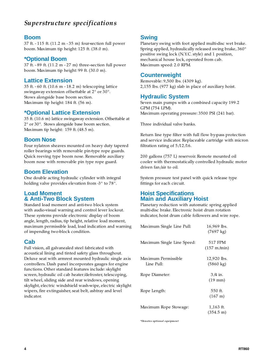# *Superstructure specifications*

# **Boom**

37 ft. - 115 ft. (11.2 m - 35 m) four-section full power boom. Maximum tip height: 125 ft. (38.0 m).

# **\*Optional Boom**

 $37$  ft.  $-89$  ft.  $(11.2 \text{ m} - 27 \text{ m})$  three-section full power boom. Maximum tip height: 99 ft. (30.0 m).

# **Lattice Extension**

35 ft. - 60 ft. (10.6 m - 18.2 m) telescoping lattice swingaway extension offsettable at 2° or 30°. Stows alongside base boom section. Maximum tip height: 184 ft. (56 m).

# **\*Optional Lattice Extension**

35 ft. (10.6 m) lattice swingaway extension. Offsettable at 2° or 30°. Stows alongside base boom section. Maximum tip height: 159 ft. (48.5 m).

# **Boom Nose**

Four nylatron sheaves mounted on heavy duty tapered roller bearings with removable pin-type rope guards. Quick reeving type boom nose. Removable auxiliary boom nose with removable pin type rope guard.

# **Boom Elevation**

One double acting hydraulic cylinder with integral holding valve provides elevation from -3° to 78°.

# **Load Moment & Anti-Two Block System**

Standard load moment and anti-two block system with audio-visual warning and control lever lockout. These systems provide electronic display of boom angle, length, radius, tip height, relative load moment, maximum permissible load, load indication and warning of impending two-block condition.

# **Cab**

Full vision, all galvanealed steel fabricated with acoustical lining and tinted safety glass throughout. Deluxe seat with armrest mounted hydraulic single axis controllers. Dash panel incorporates gauges for engine functions. Other standard features include: skylight screen, hydraulic oil cab heater/defroster, telescoping, tilt wheel, sliding side and rear windows, opening skylight, electric windshield wash-wipe, electric skylight wipers, fire extinguisher, seat belt, ashtray and level indicator.

# **Swing**

Planetary swing with foot applied multi-disc wet brake. Spring applied, hydraulically released swing brake, 360° positive swing lock (N.Y.C. style) and 1 position, mechanical house lock, operated from cab. Maximum speed: 2.0 RPM.

# **Counterweight**

Removable: 9,500 lbs. (4309 kg). 2,155 lbs. (977 kg) slab in place of auxiliary hoist.

# **Hydraulic System**

Seven main pumps with a combined capacity 199.2 GPM (754 LPM). Maximum operating pressure: 3500 PSI (241 bar).

Three individual valve banks.

Return line type filter with full flow by-pass protection and service indicator. Replaceable cartridge with micron filtration rating of  $5/12/16$ .

200 gallons (757 L) reservoir. Remote mounted oil cooler with thermostatically controlled hydraulic motor driven fan/air to oil.

System pressure test panel with quick release type fittings for each circuit.

# **Hoist Specifications Main and Auxiliary Hoist**

Planetary reduction with automatic spring applied multi-disc brake. Electronic hoist drum rotation indicator, hoist drum cable followers and wire rope.

| Maximum Single Line Pull:         | 16,969 lbs.<br>$(7697 \text{ kg})$ |
|-----------------------------------|------------------------------------|
| Maximum Single Line Speed:        | 517 FPM<br>$(157 \; \text{m/min})$ |
| Maximum Permissible<br>Line Pull: | 12,920 lbs.<br>$(5860 \text{ kg})$ |
| Rope Diameter:                    | 3 /4 in.<br>$(19 \text{ mm})$      |
| Rope Length:                      | 550 ft.<br>$(167 \text{ m})$       |
| Maximum Rope Stowage:             | 1,163 ft.<br>$(354.5 \text{ m})$   |

*\*Denotes optional equipment*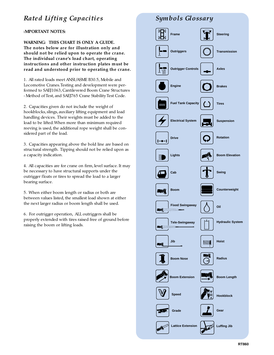# *Rated Lifting Capacities*

<sup>I</sup>**MPORTANT NOTES:**

**WARNING: THIS CHART IS ONLY A GUIDE. The notes below are for illustration only and should not be relied upon to operate the crane. The individual crane's load chart, operating instructions and other instruction plates must be read and understood prior to operating the crane.**

1. All rated loads meet ANSI/ASME B30.5, Mobile and Locomotive Cranes.Testing and development were performed to SAEJ1063, Cantilevered Boom Crane Structures - Method of Test, and SAEJ765 Crane Stability Test Code.

2. Capacities given do not include the weight of hookblocks, slings, auxiliary lifting equipment and load handling devices. Their weights must be added to the load to be lifted.When more than minimum required reeving is used, the additional rope weight shall be considered part of the load.

3. Capacities appearing above the bold line are based on structural strength. Tipping should not be relied upon as a capacity indication.

4. All capacities are for crane on firm, level surface. It may be necessary to have structural supports under the outrigger floats or tires to spread the load to a larger bearing surface.

5. When either boom length or radius or both are between values listed, the smallest load shown at either the next larger radius or boom length shall be used.

6. For outrigger operation, ALL outriggers shall be properly extended with tires raised free of ground before raising the boom or lifting loads.

# *Symbols Glossary*